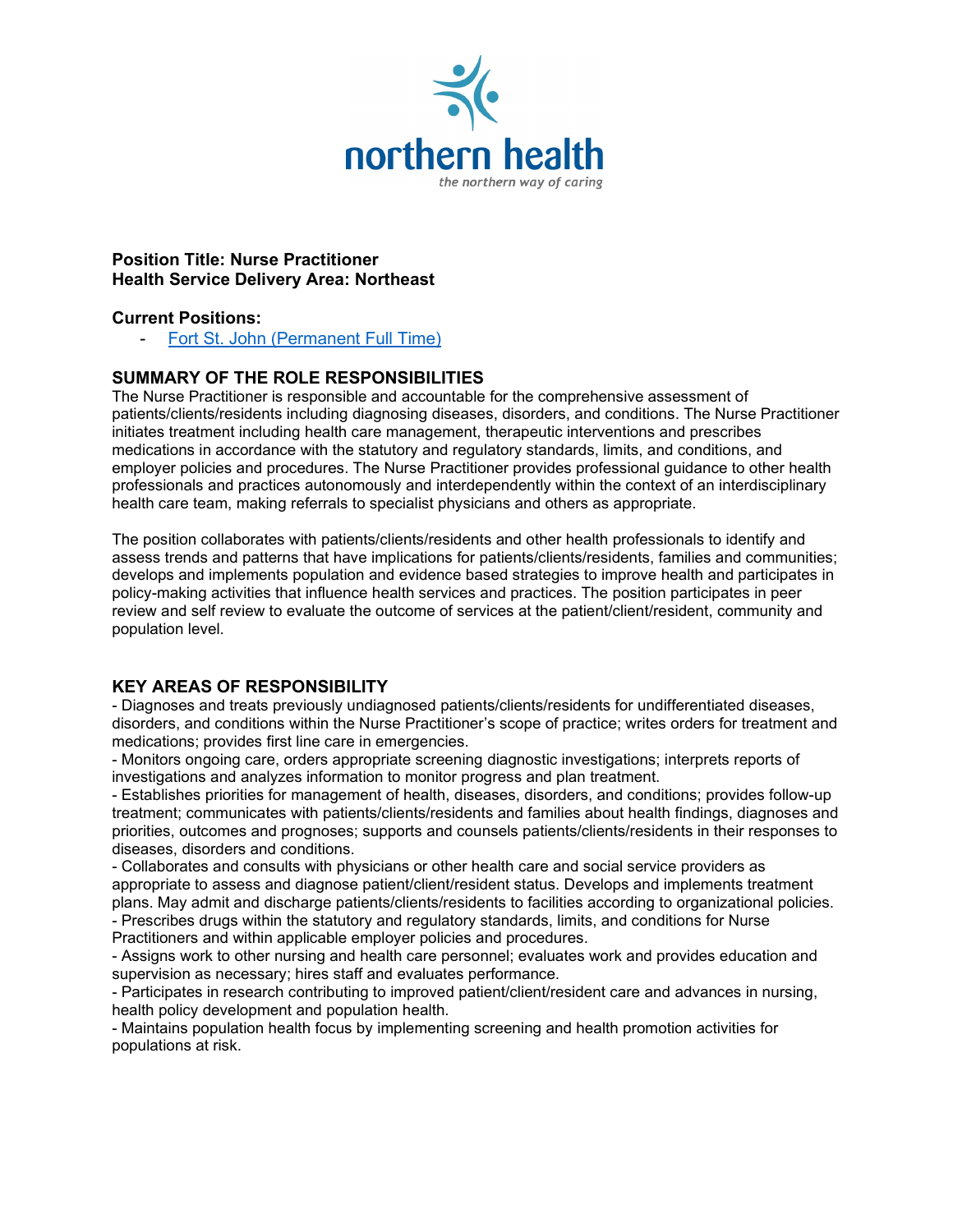

## **Position Title: Nurse Practitioner Health Service Delivery Area: Northeast**

# **Current Positions:**

[Fort St. John \(Permanent Full Time\)](https://expectmore.northernhealth.ca/ViewPosting.aspx?id=5500486&f=501-0-27--0-0)

# **SUMMARY OF THE ROLE RESPONSIBILITIES**

The Nurse Practitioner is responsible and accountable for the comprehensive assessment of patients/clients/residents including diagnosing diseases, disorders, and conditions. The Nurse Practitioner initiates treatment including health care management, therapeutic interventions and prescribes medications in accordance with the statutory and regulatory standards, limits, and conditions, and employer policies and procedures. The Nurse Practitioner provides professional guidance to other health professionals and practices autonomously and interdependently within the context of an interdisciplinary health care team, making referrals to specialist physicians and others as appropriate.

The position collaborates with patients/clients/residents and other health professionals to identify and assess trends and patterns that have implications for patients/clients/residents, families and communities; develops and implements population and evidence based strategies to improve health and participates in policy-making activities that influence health services and practices. The position participates in peer review and self review to evaluate the outcome of services at the patient/client/resident, community and population level.

# **KEY AREAS OF RESPONSIBILITY**

- Diagnoses and treats previously undiagnosed patients/clients/residents for undifferentiated diseases, disorders, and conditions within the Nurse Practitioner's scope of practice; writes orders for treatment and medications; provides first line care in emergencies.

- Monitors ongoing care, orders appropriate screening diagnostic investigations; interprets reports of investigations and analyzes information to monitor progress and plan treatment.

- Establishes priorities for management of health, diseases, disorders, and conditions; provides follow-up treatment; communicates with patients/clients/residents and families about health findings, diagnoses and priorities, outcomes and prognoses; supports and counsels patients/clients/residents in their responses to diseases, disorders and conditions.

- Collaborates and consults with physicians or other health care and social service providers as appropriate to assess and diagnose patient/client/resident status. Develops and implements treatment plans. May admit and discharge patients/clients/residents to facilities according to organizational policies.

- Prescribes drugs within the statutory and regulatory standards, limits, and conditions for Nurse Practitioners and within applicable employer policies and procedures.

- Assigns work to other nursing and health care personnel; evaluates work and provides education and supervision as necessary; hires staff and evaluates performance.

- Participates in research contributing to improved patient/client/resident care and advances in nursing, health policy development and population health.

- Maintains population health focus by implementing screening and health promotion activities for populations at risk.